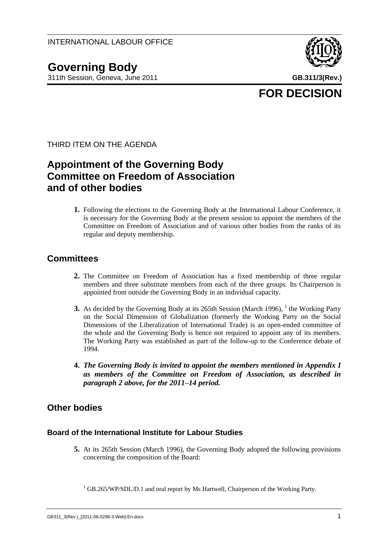**Governing Body** 311th Session, Geneva, June 2011 **GB.311/3(Rev.)**



**FOR DECISION**

THIRD ITEM ON THE AGENDA

# **Appointment of the Governing Body Committee on Freedom of Association and of other bodies**

**1.** Following the elections to the Governing Body at the International Labour Conference, it is necessary for the Governing Body at the present session to appoint the members of the Committee on Freedom of Association and of various other bodies from the ranks of its regular and deputy membership.

# **Committees**

- **2.** The Committee on Freedom of Association has a fixed membership of three regular members and three substitute members from each of the three groups. Its Chairperson is appointed from outside the Governing Body in an individual capacity.
- **3.** As decided by the Governing Body at its 265th Session (March 1996), <sup>1</sup> the Working Party on the Social Dimension of Globalization (formerly the Working Party on the Social Dimensions of the Liberalization of International Trade) is an open-ended committee of the whole and the Governing Body is hence not required to appoint any of its members. The Working Party was established as part of the follow-up to the Conference debate of 1994.
- **4.** *The Governing Body is invited to appoint the members mentioned in Appendix I as members of the Committee on Freedom of Association, as described in paragraph 2 above, for the 2011–14 period.*

# **Other bodies**

### **Board of the International Institute for Labour Studies**

**5.** At its 265th Session (March 1996), the Governing Body adopted the following provisions concerning the composition of the Board:

 $1$  GB.265/WP/SDL/D.1 and oral report by Ms Hartwell, Chairperson of the Working Party.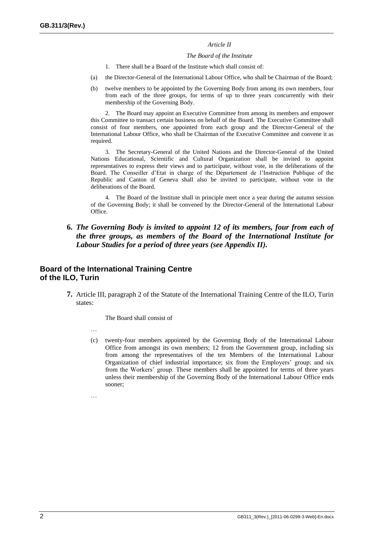#### *Article II*

#### *The Board of the Institute*

- 1. There shall be a Board of the Institute which shall consist of:
- (a) the Director-General of the International Labour Office, who shall be Chairman of the Board;
- (b) twelve members to be appointed by the Governing Body from among its own members, four from each of the three groups, for terms of up to three years concurrently with their membership of the Governing Body.

2. The Board may appoint an Executive Committee from among its members and empower this Committee to transact certain business on behalf of the Board. The Executive Committee shall consist of four members, one appointed from each group and the Director-General of the International Labour Office, who shall be Chairman of the Executive Committee and convene it as required.

3. The Secretary-General of the United Nations and the Director-General of the United Nations Educational, Scientific and Cultural Organization shall be invited to appoint representatives to express their views and to participate, without vote, in the deliberations of the Board. The Conseiller d'Etat in charge of the Département de l'Instruction Publique of the Republic and Canton of Geneva shall also be invited to participate, without vote in the deliberations of the Board.

4. The Board of the Institute shall in principle meet once a year during the autumn session of the Governing Body; it shall be convened by the Director-General of the International Labour Office.

#### **6.** *The Governing Body is invited to appoint 12 of its members, four from each of the three groups, as members of the Board of the International Institute for Labour Studies for a period of three years (see Appendix II).*

#### **Board of the International Training Centre of the ILO, Turin**

**7.** Article III, paragraph 2 of the Statute of the International Training Centre of the ILO, Turin states:

The Board shall consist of

- …
- (c) twenty-four members appointed by the Governing Body of the International Labour Office from amongst its own members; 12 from the Government group, including six from among the representatives of the ten Members of the International Labour Organization of chief industrial importance; six from the Employers' group; and six from the Workers' group. These members shall be appointed for terms of three years unless their membership of the Governing Body of the International Labour Office ends sooner;

…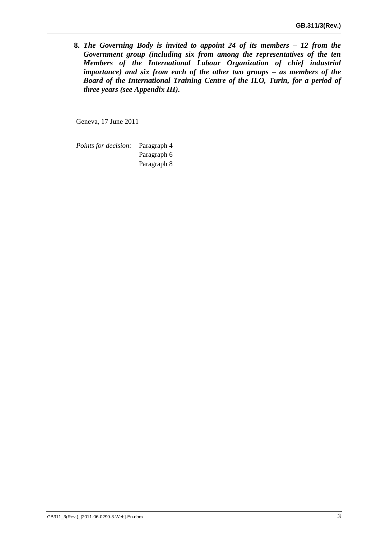**8.** *The Governing Body is invited to appoint 24 of its members – 12 from the Government group (including six from among the representatives of the ten Members of the International Labour Organization of chief industrial importance) and six from each of the other two groups – as members of the Board of the International Training Centre of the ILO, Turin, for a period of three years (see Appendix III).*

Geneva, 17 June 2011

*Points for decision:* Paragraph 4 Paragraph 6 Paragraph 8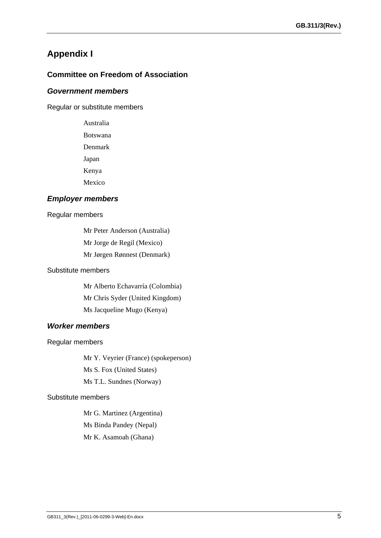# **Appendix I**

### **Committee on Freedom of Association**

#### *Government members*

Regular or substitute members

Australia Botswana Denmark Japan Kenya Mexico

#### *Employer members*

#### Regular members

Mr Peter Anderson (Australia) Mr Jorge de Regil (Mexico) Mr Jørgen Rønnest (Denmark)

### Substitute members

Mr Alberto Echavarría (Colombia) Mr Chris Syder (United Kingdom) Ms Jacqueline Mugo (Kenya)

### *Worker members*

Regular members

Mr Y. Veyrier (France) (spokeperson)

Ms S. Fox (United States)

Ms T.L. Sundnes (Norway)

#### Substitute members

Mr G. Martinez (Argentina) Ms Binda Pandey (Nepal) Mr K. Asamoah (Ghana)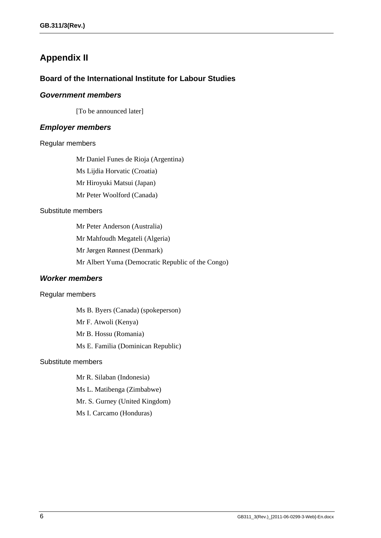# **Appendix II**

#### **Board of the International Institute for Labour Studies**

#### *Government members*

[To be announced later]

#### *Employer members*

#### Regular members

Mr Daniel Funes de Rioja (Argentina)

Ms Lijdia Horvatic (Croatia)

Mr Hiroyuki Matsui (Japan)

Mr Peter Woolford (Canada)

#### Substitute members

Mr Peter Anderson (Australia) Mr Mahfoudh Megateli (Algeria) Mr Jørgen Rønnest (Denmark) Mr Albert Yuma (Democratic Republic of the Congo)

### *Worker members*

#### Regular members

Ms B. Byers (Canada) (spokeperson) Mr F. Atwoli (Kenya) Mr B. Hossu (Romania) Ms E. Familia (Dominican Republic)

## Substitute members

- Mr R. Silaban (Indonesia)
- Ms L. Matibenga (Zimbabwe)

Mr. S. Gurney (United Kingdom)

Ms I. Carcamo (Honduras)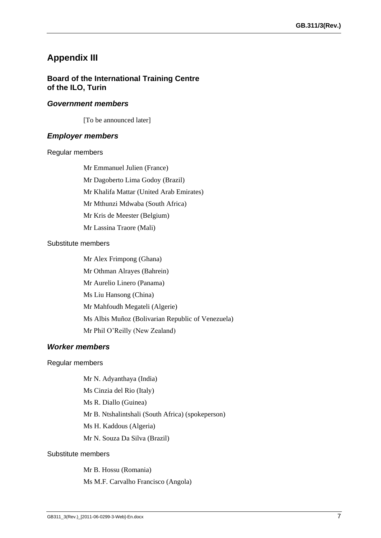# **Appendix III**

#### **Board of the International Training Centre of the ILO, Turin**

#### *Government members*

[To be announced later]

#### *Employer members*

#### Regular members

- Mr Emmanuel Julien (France)
- Mr Dagoberto Lima Godoy (Brazil)
- Mr Khalifa Mattar (United Arab Emirates)
- Mr Mthunzi Mdwaba (South Africa)
- Mr Kris de Meester (Belgium)
- Mr Lassina Traore (Mali)

#### Substitute members

Mr Alex Frimpong (Ghana) Mr Othman Alrayes (Bahrein) Mr Aurelio Linero (Panama) Ms Liu Hansong (China) Mr Mahfoudh Megateli (Algerie) Ms Albis Muñoz (Bolivarian Republic of Venezuela) Mr Phil O'Reilly (New Zealand)

#### *Worker members*

#### Regular members

Mr N. Adyanthaya (India) Ms Cinzia del Rio (Italy) Ms R. Diallo (Guinea) Mr B. Ntshalintshali (South Africa) (spokeperson) Ms H. Kaddous (Algeria) Mr N. Souza Da Silva (Brazil)

#### Substitute members

Mr B. Hossu (Romania) Ms M.F. Carvalho Francisco (Angola)